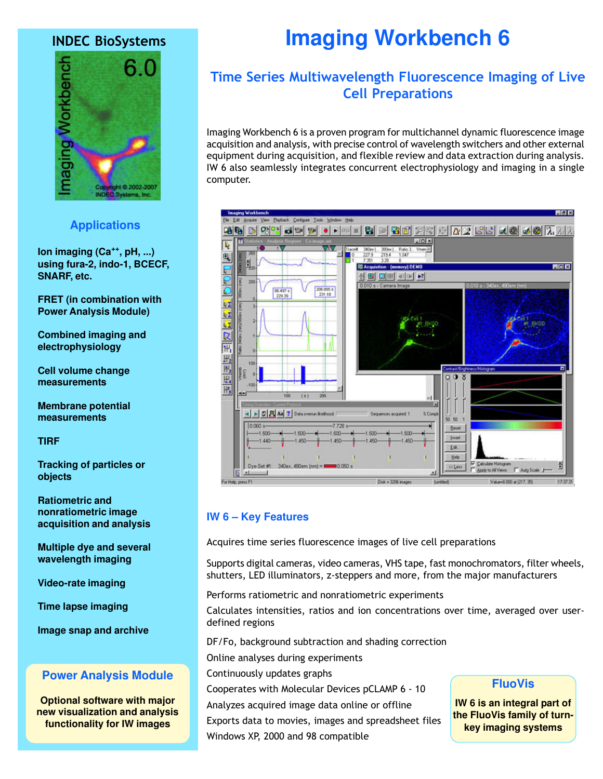# INDEC BioSystems



# **Applications**

**Ion imaging (Ca++, pH, ...) using fura-2, indo-1, BCECF, SNARF, etc.**

**FRET (in combination with Power Analysis Module)**

**Combined imaging and electrophysiology**

**Cell volume change measurements**

**Membrane potential measurements**

**TIRF**

**Tracking of particles or objects**

**Ratiometric and nonratiometric image acquisition and analysis**

**Multiple dye and several wavelength imaging**

**Video-rate imaging**

**Time lapse imaging**

**Image snap and archive**

# **Power Analysis Module**

**Optional software with major new visualization and analysis functionality for IW images**

# **Imaging Workbench 6**

# Time Series Multiwavelength Fluorescence Imaging of Live Cell Preparations

Imaging Workbench 6 is a proven program for multichannel dynamic fluorescence image acquisition and analysis, with precise control of wavelength switchers and other external equipment during acquisition, and flexible review and data extraction during analysis. IW 6 also seamlessly integrates concurrent electrophysiology and imaging in a single computer.



# **IW 6 – Key Features**

Acquires time series fluorescence images of live cell preparations

Supports digital cameras, video cameras, VHS tape, fast monochromators, filter wheels, shutters, LED illuminators, z-steppers and more, from the major manufacturers

Performs ratiometric and nonratiometric experiments

Calculates intensities, ratios and ion concentrations over time, averaged over userdefined regions

DF/Fo, background subtraction and shading correction

Online analyses during experiments

Continuously updates graphs

Cooperates with Molecular Devices pCLAMP 6 - 10

Analyzes acquired image data online or offline

Exports data to movies, images and spreadsheet files

Windows XP, 2000 and 98 compatible

# **FluoVis**

**IW 6 is an integral part of the FluoVis family of turnkey imaging systems**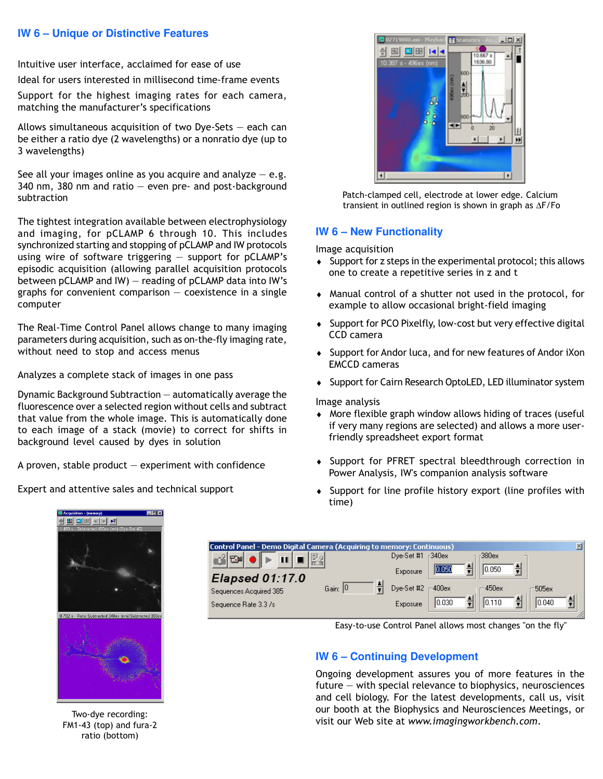### **IW 6 – Unique or Distinctive Features**

Intuitive user interface, acclaimed for ease of use

Ideal for users interested in millisecond time-frame events

Support for the highest imaging rates for each camera, matching the manufacturer's specifications

Allows simultaneous acquisition of two Dye-Sets  $-$  each can be either a ratio dye (2 wavelengths) or a nonratio dye (up to 3 wavelengths)

See all your images online as you acquire and analyze  $-e.g.$ 340 nm, 380 nm and ratio  $-$  even pre- and post-background subtraction

The tightest integration available between electrophysiology and imaging, for pCLAMP 6 through 10. This includes synchronized starting and stopping of pCLAMP and IW protocols using wire of software triggering  $-$  support for pCLAMP's episodic acquisition (allowing parallel acquisition protocols between pCLAMP and IW)  $-$  reading of pCLAMP data into IW's graphs for convenient comparison  $-$  coexistence in a single computer

The Real-Time Control Panel allows change to many imaging parameters during acquisition, such as on-the-fly imaging rate, without need to stop and access menus

Analyzes a complete stack of images in one pass

Dynamic Background Subtraction  $-$  automatically average the fluorescence over a selected region without cells and subtract that value from the whole image. This is automatically done to each image of a stack (movie) to correct for shifts in background level caused by dyes in solution

A proven, stable product  $-$  experiment with confidence

Expert and attentive sales and technical support



Patch-clamped cell, electrode at lower edge. Calcium transient in outlined region is shown in graph as ∆F/Fo

# **IW 6 – New Functionality**

Image acquisition

- ♦ Support for z steps in the experimental protocol; this allows one to create a repetitive series in z and t
- ♦ Manual control of a shutter not used in the protocol, for example to allow occasional bright-field imaging
- ♦ Support for PCO Pixelfly, low-cost but very effective digital CCD camera
- ♦ Support for Andor luca, and for new features of Andor iXon EMCCD cameras
- ♦ Support for Cairn Research OptoLED, LED illuminator system

Image analysis

- ♦ More flexible graph window allows hiding of traces (useful if very many regions are selected) and allows a more userfriendly spreadsheet export format
- ♦ Support for PFRET spectral bleedthrough correction in Power Analysis, IW's companion analysis software
- ♦ Support for line profile history export (line profiles with time)



Two-dye recording: FM1-43 (top) and fura-2 ratio (bottom)



Easy-to-use Control Panel allows most changes "on the fly"

# **IW 6 – Continuing Development**

Ongoing development assures you of more features in the future  $-$  with special relevance to biophysics, neurosciences and cell biology. For the latest developments, call us, visit our booth at the Biophysics and Neurosciences Meetings, or visit our Web site at www.imagingworkbench.com.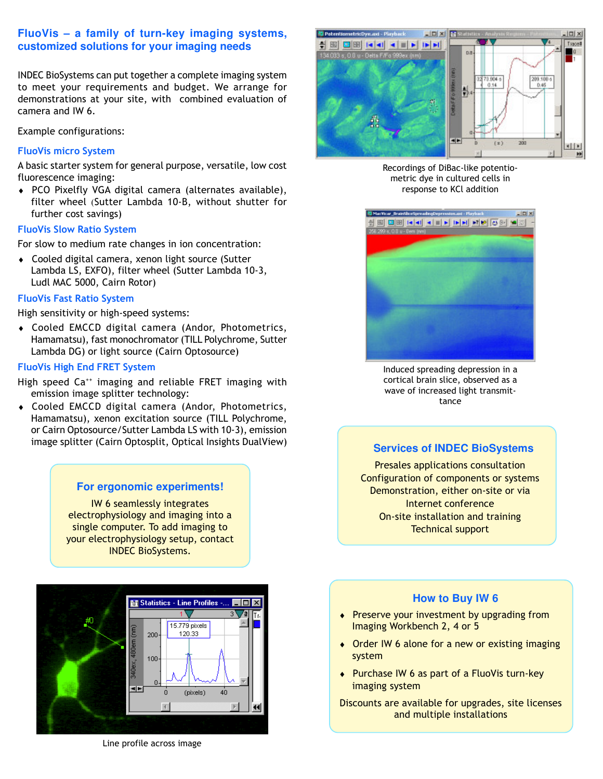## **FluoVis – a family of turn-key imaging systems, customized solutions for your imaging needs**

INDEC BioSystems can put together a complete imaging system to meet your requirements and budget. We arrange for demonstrations at your site, with combined evaluation of camera and IW 6.

Example configurations:

#### FluoVis micro System

A basic starter system for general purpose, versatile, low cost fluorescence imaging:

♦ PCO Pixelfly VGA digital camera (alternates available), filter wheel (Sutter Lambda 10-B, without shutter for further cost savings)

#### FluoVis Slow Ratio System

For slow to medium rate changes in ion concentration:

♦ Cooled digital camera, xenon light source (Sutter Lambda LS, EXFO), filter wheel (Sutter Lambda 10-3, Ludl MAC 5000, Cairn Rotor)

#### FluoVis Fast Ratio System

High sensitivity or high-speed systems:

♦ Cooled EMCCD digital camera (Andor, Photometrics, Hamamatsu), fast monochromator (TILL Polychrome, Sutter Lambda DG) or light source (Cairn Optosource)

#### FluoVis High End FRET System

High speed Ca<sup>++</sup> imaging and reliable FRET imaging with emission image splitter technology:

♦ Cooled EMCCD digital camera (Andor, Photometrics, Hamamatsu), xenon excitation source (TILL Polychrome, or Cairn Optosource/Sutter Lambda LS with 10-3), emission image splitter (Cairn Optosplit, Optical Insights DualView)

#### **For ergonomic experiments!**

IW 6 seamlessly integrates electrophysiology and imaging into a single computer. To add imaging to your electrophysiology setup, contact INDEC BioSystems.



Line profile across image



Recordings of DiBac-like potentiometric dye in cultured cells in response to KCl addition



Induced spreading depression in a cortical brain slice, observed as a wave of increased light transmittance

#### **Services of INDEC BioSystems**

Presales applications consultation Configuration of components or systems Demonstration, either on-site or via Internet conference On-site installation and training Technical support

#### **How to Buy IW 6**

- ♦ Preserve your investment by upgrading from Imaging Workbench 2, 4 or 5
- ♦ Order IW 6 alone for a new or existing imaging system
- ♦ Purchase IW 6 as part of a FluoVis turn-key imaging system

Discounts are available for upgrades, site licenses and multiple installations